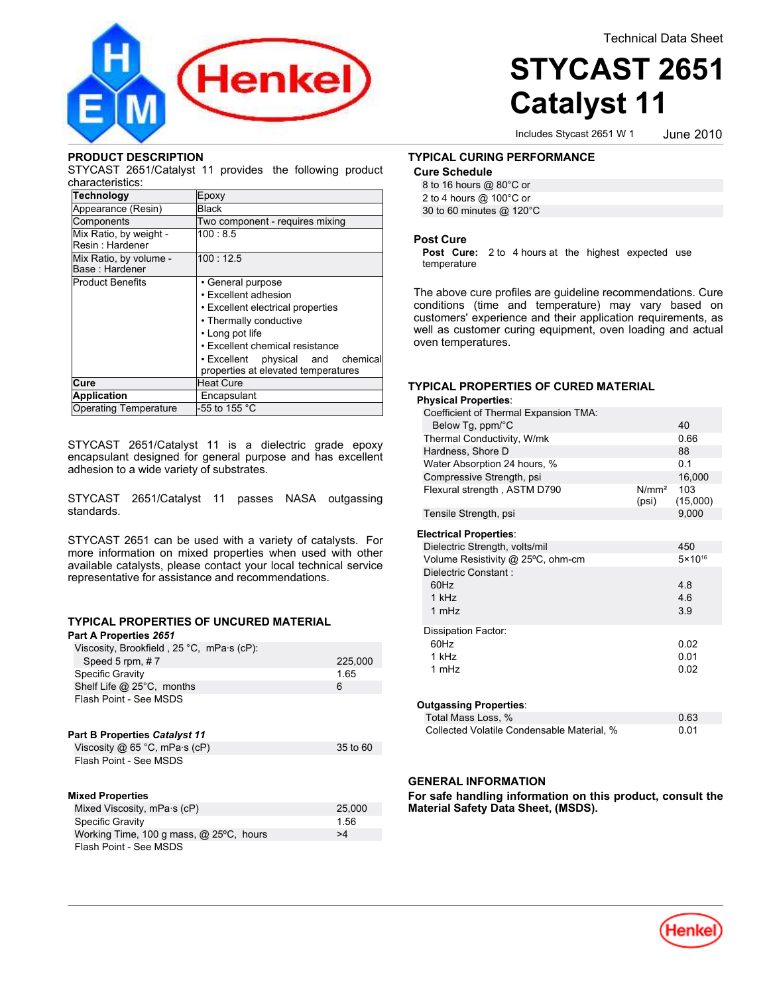

#### **PRODUCT DESCRIPTION**

STYCAST 2651/Catalyst 11 provides the following product characteristics:

| <b>Technology</b>                         | Epoxy                                                                    |
|-------------------------------------------|--------------------------------------------------------------------------|
| Appearance (Resin)                        | <b>Black</b>                                                             |
| Components                                | Two component - requires mixing                                          |
| Mix Ratio, by weight -<br>Resin: Hardener | 100:8.5                                                                  |
| Mix Ratio, by volume -<br>Base: Hardener  | 100:12.5                                                                 |
| <b>Product Benefits</b>                   | • General purpose                                                        |
|                                           | • Excellent adhesion                                                     |
|                                           | • Excellent electrical properties                                        |
|                                           | • Thermally conductive                                                   |
|                                           | • Long pot life                                                          |
|                                           | • Excellent chemical resistance                                          |
|                                           | . Excellent physical and chemical<br>properties at elevated temperatures |
| Cure                                      | <b>Heat Cure</b>                                                         |
| <b>Application</b>                        | Encapsulant                                                              |
| <b>Operating Temperature</b>              | -55 to 155 °C                                                            |

STYCAST 2651/Catalyst 11 is a dielectric grade epoxy encapsulant designed for general purpose and has excellent adhesion to a wide variety of substrates.

STYCAST 2651/Catalyst 11 passes NASA outgassing standards.

STYCAST 2651 can be used with a variety of catalysts. For more information on mixed properties when used with other available catalysts, please contact your local technical service representative for assistance and recommendations.

#### **TYPICAL PROPERTIES OF UNCURED MATERIAL Part A Properties** *2651*

| .                                                                               |          |
|---------------------------------------------------------------------------------|----------|
| Viscosity, Brookfield, $25^{\circ}$ C, mPa $\cdot$ s (cP):<br>Speed 5 rpm, $#7$ | 225,000  |
| <b>Specific Gravity</b>                                                         | 1.65     |
| Shelf Life $@$ 25°C, months                                                     | 6        |
| Flash Point - See MSDS                                                          |          |
| <b>Part B Properties Catalyst 11</b>                                            |          |
| Viscosity $@65$ °C, mPa $\cdot$ s (cP)                                          | 35 to 60 |
| Flash Point - See MSDS                                                          |          |
| <b>Mixed Properties</b>                                                         |          |
| Mixed Viscosity, mPa·s (cP)                                                     | 25,000   |
| <b>Specific Gravity</b>                                                         | 1.56     |
| Working Time, 100 g mass, $@$ 25 $°C$ , hours                                   | >4       |
| Flash Point - See MSDS                                                          |          |

# **STYCAST 2651 Catalyst 11**

Includes Stycast 2651 W 1

June-2010

#### **TYPICAL CURING PERFORMANCE**

#### **Cure Schedule**

| 8 to 16 hours @ 80°C or  |  |
|--------------------------|--|
| 2 to 4 hours @ 100°C or  |  |
| 30 to 60 minutes @ 120°C |  |

#### **Post Cure**

**Post Cure:** 2 to 4 hours at the highest expected use temperature

The above cure profiles are guideline recommendations. Cure conditions (time and temperature) may vary based on customers' experience and their application requirements, as well as customer curing equipment, oven loading and actual oven temperatures.

#### **TYPICAL PROPERTIES OF CURED MATERIAL**

| <b>Physical Properties:</b>           |                            |                    |  |
|---------------------------------------|----------------------------|--------------------|--|
| Coefficient of Thermal Expansion TMA: |                            |                    |  |
| Below Tg, ppm/°C                      |                            | 40                 |  |
| Thermal Conductivity, W/mk            |                            | 0.66               |  |
| Hardness, Shore D                     |                            | 88                 |  |
| Water Absorption 24 hours, %          |                            | 0.1                |  |
| Compressive Strength, psi             |                            | 16,000             |  |
| Flexural strength, ASTM D790          | N/mm <sup>2</sup><br>(psi) | 103<br>(15,000)    |  |
| Tensile Strength, psi                 |                            | 9,000              |  |
| <b>Electrical Properties:</b>         |                            |                    |  |
| Dielectric Strength, volts/mil        |                            | 450                |  |
| Volume Resistivity @ 25°C, ohm-cm     |                            | $5 \times 10^{16}$ |  |
| Dielectric Constant:                  |                            |                    |  |
| 60Hz                                  |                            | 4.8                |  |
| $1$ kH $z$                            |                            | 4.6                |  |
| 1 mHz                                 |                            | 3.9                |  |
| Dissipation Factor:                   |                            |                    |  |
| 60Hz                                  |                            | 0.02               |  |
| 1 kHz                                 |                            | 0.01               |  |
| 1 mHz                                 |                            | 0.02               |  |
|                                       |                            |                    |  |
| <b>Outgassing Properties:</b>         |                            |                    |  |
|                                       |                            |                    |  |

| Total Mass Loss, %                         | 0.63 |
|--------------------------------------------|------|
| Collected Volatile Condensable Material, % | 0.01 |

#### **GENERAL INFORMATION**

**For safe handling information on this product, consult the Material Safety Data Sheet, (MSDS).**